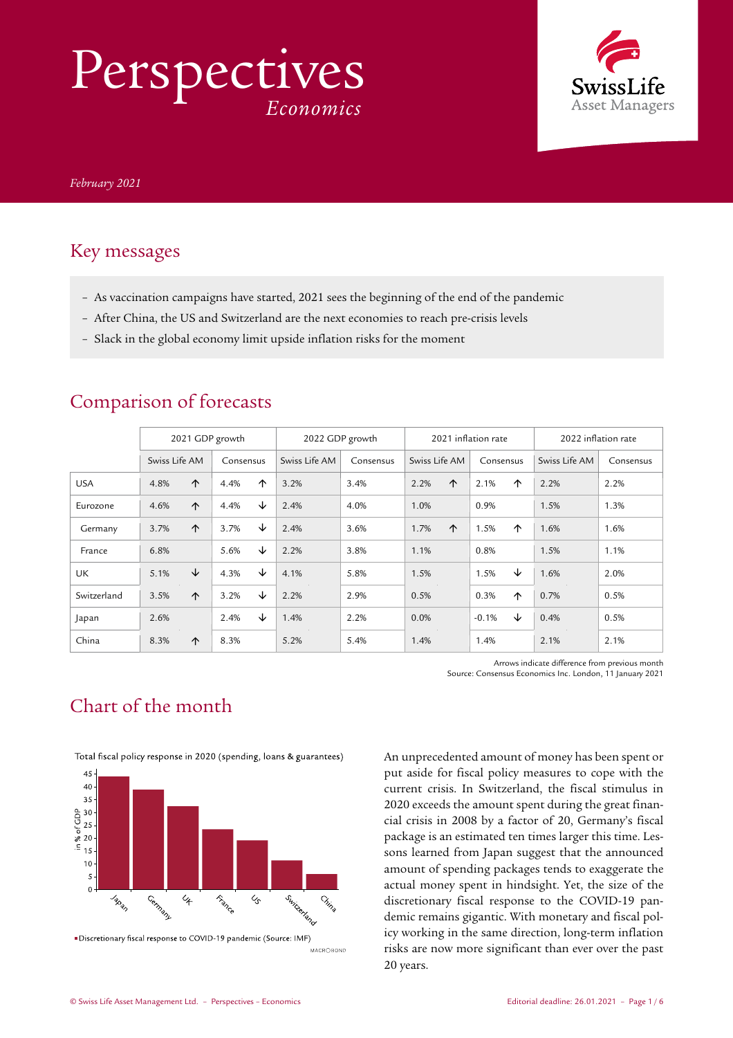# Perspectives *Economics*



### Key messages

- As vaccination campaigns have started, 2021 sees the beginning of the end of the pandemic
- After China, the US and Switzerland are the next economies to reach pre-crisis levels
- Slack in the global economy limit upside inflation risks for the moment

|             | 2021 GDP growth |            |           | 2022 GDP growth |               | 2021 inflation rate |               | 2022 inflation rate |               |           |
|-------------|-----------------|------------|-----------|-----------------|---------------|---------------------|---------------|---------------------|---------------|-----------|
|             | Swiss Life AM   |            | Consensus |                 | Swiss Life AM | Consensus           | Swiss Life AM | Consensus           | Swiss Life AM | Consensus |
| <b>USA</b>  | 4.8%            | ↑          | 4.4%      | 个               | 3.2%          | 3.4%                | ↑<br>2.2%     | 2.1%<br>↑           | 2.2%          | 2.2%      |
| Eurozone    | 4.6%            | $\uparrow$ | 4.4%      | ↓               | 2.4%          | 4.0%                | 1.0%          | 0.9%                | 1.5%          | 1.3%      |
| Germany     | 3.7%            | ↑          | 3.7%      | ↓               | 2.4%          | 3.6%                | 1.7%<br>↑     | 1.5%<br>↑           | 1.6%          | 1.6%      |
| France      | 6.8%            |            | 5.6%      | ↓               | 2.2%          | 3.8%                | 1.1%          | 0.8%                | 1.5%          | 1.1%      |
| UK          | 5.1%            | ↓          | 4.3%      | ↓               | 4.1%          | 5.8%                | 1.5%          | ↓<br>1.5%           | 1.6%          | 2.0%      |
| Switzerland | 3.5%            | $\uparrow$ | 3.2%      | ↓               | 2.2%          | 2.9%                | 0.5%          | 0.3%<br>↑           | 0.7%          | 0.5%      |
| Japan       | 2.6%            |            | 2.4%      | ↓               | 1.4%          | 2.2%                | 0.0%          | ↓<br>$-0.1%$        | 0.4%          | 0.5%      |
| China       | 8.3%            | $\uparrow$ | 8.3%      |                 | 5.2%          | 5.4%                | 1.4%          | 1.4%                | 2.1%          | 2.1%      |

### Comparison of forecasts

Arrows indicate difference from previous month Source: Consensus Economics Inc. London, 11 January 2021

## Chart of the month





■Discretionary fiscal response to COVID-19 pandemic (Source: IMF) MACROBOND An unprecedented amount of money has been spent or put aside for fiscal policy measures to cope with the current crisis. In Switzerland, the fiscal stimulus in 2020 exceeds the amount spent during the great financial crisis in 2008 by a factor of 20, Germany's fiscal package is an estimated ten times larger this time. Lessons learned from Japan suggest that the announced amount of spending packages tends to exaggerate the actual money spent in hindsight. Yet, the size of the discretionary fiscal response to the COVID-19 pandemic remains gigantic. With monetary and fiscal policy working in the same direction, long-term inflation risks are now more significant than ever over the past 20 years.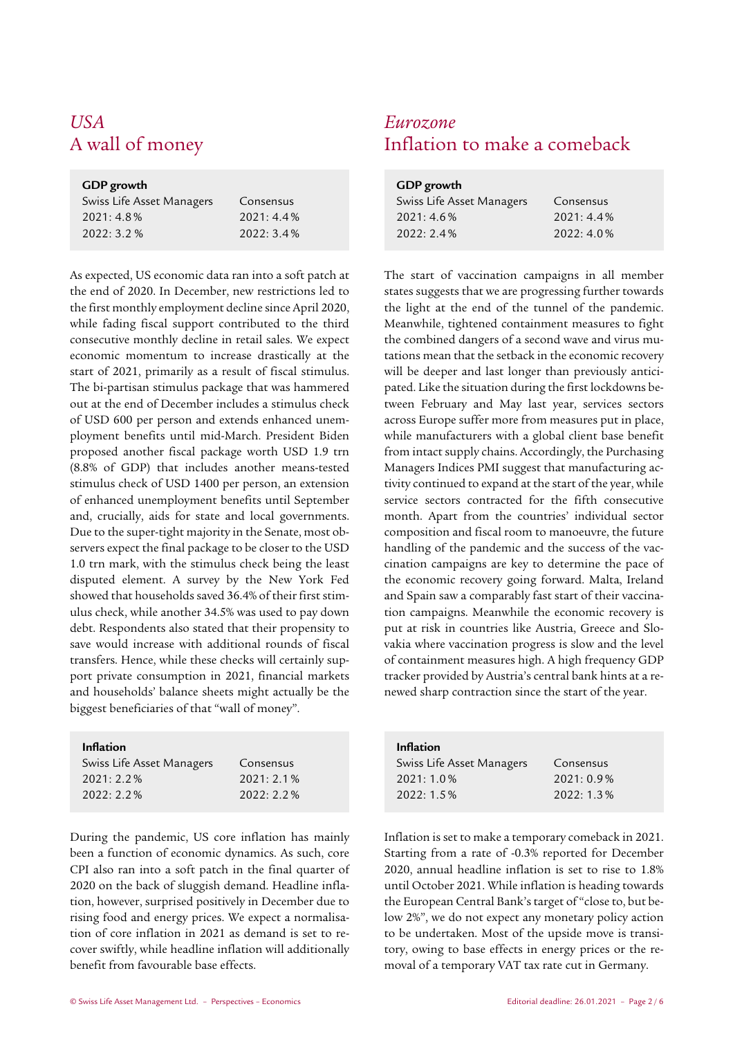## *USA Eurozone*

## **GDP** growth

| Swiss Life Asset Managers | Consensus    |
|---------------------------|--------------|
| $2021:4.8\%$              | $2021:4.4\%$ |
| 2022: 3.2 %               | 2022:3.4%    |

As expected, US economic data ran into a soft patch at the end of 2020. In December, new restrictions led to the first monthly employment decline since April 2020, while fading fiscal support contributed to the third consecutive monthly decline in retail sales. We expect economic momentum to increase drastically at the start of 2021, primarily as a result of fiscal stimulus. The bi-partisan stimulus package that was hammered out at the end of December includes a stimulus check of USD 600 per person and extends enhanced unemployment benefits until mid-March. President Biden proposed another fiscal package worth USD 1.9 trn (8.8% of GDP) that includes another means-tested stimulus check of USD 1400 per person, an extension of enhanced unemployment benefits until September and, crucially, aids for state and local governments. Due to the super-tight majority in the Senate, most observers expect the final package to be closer to the USD 1.0 trn mark, with the stimulus check being the least disputed element. A survey by the New York Fed showed that households saved 36.4% of their first stimulus check, while another 34.5% was used to pay down debt. Respondents also stated that their propensity to save would increase with additional rounds of fiscal transfers. Hence, while these checks will certainly support private consumption in 2021, financial markets and households' balance sheets might actually be the biggest beneficiaries of that "wall of money".

| Swiss Life Asset Managers | Consensus    |
|---------------------------|--------------|
| $2021:2.2\%$              | $2021:2.1\%$ |
| $2022:2.2\%$              | $2022:2.2\%$ |
|                           |              |

During the pandemic, US core inflation has mainly been a function of economic dynamics. As such, core CPI also ran into a soft patch in the final quarter of 2020 on the back of sluggish demand. Headline inflation, however, surprised positively in December due to rising food and energy prices. We expect a normalisation of core inflation in 2021 as demand is set to recover swiftly, while headline inflation will additionally benefit from favourable base effects.

## A wall of money **Inflation** to make a comeback

| GDP growth                |              |
|---------------------------|--------------|
| Swiss Life Asset Managers | Consensus    |
| 2021:4.6%                 | $2021:4.4\%$ |
| 2022:2.4%                 | 2022:4.0%    |

 The start of vaccination campaigns in all member states suggests that we are progressing further towards the light at the end of the tunnel of the pandemic. Meanwhile, tightened containment measures to fight the combined dangers of a second wave and virus mutations mean that the setback in the economic recovery will be deeper and last longer than previously anticipated. Like the situation during the first lockdowns between February and May last year, services sectors across Europe suffer more from measures put in place, while manufacturers with a global client base benefit from intact supply chains. Accordingly, the Purchasing Managers Indices PMI suggest that manufacturing activity continued to expand at the start of the year, while service sectors contracted for the fifth consecutive month. Apart from the countries' individual sector composition and fiscal room to manoeuvre, the future handling of the pandemic and the success of the vaccination campaigns are key to determine the pace of the economic recovery going forward. Malta, Ireland and Spain saw a comparably fast start of their vaccination campaigns. Meanwhile the economic recovery is put at risk in countries like Austria, Greece and Slovakia where vaccination progress is slow and the level of containment measures high. A high frequency GDP tracker provided by Austria's central bank hints at a renewed sharp contraction since the start of the year.

| <b>Inflation</b>          |              |
|---------------------------|--------------|
| Swiss Life Asset Managers | Consensus    |
| 2021:1.0%                 | $2021:0.9\%$ |
| $2022:1.5\%$              | 2022:1.3%    |

Inflation is set to make a temporary comeback in 2021. Starting from a rate of -0.3% reported for December 2020, annual headline inflation is set to rise to 1.8% until October 2021. While inflation is heading towards the European Central Bank's target of "close to, but below 2%", we do not expect any monetary policy action to be undertaken. Most of the upside move is transitory, owing to base effects in energy prices or the removal of a temporary VAT tax rate cut in Germany.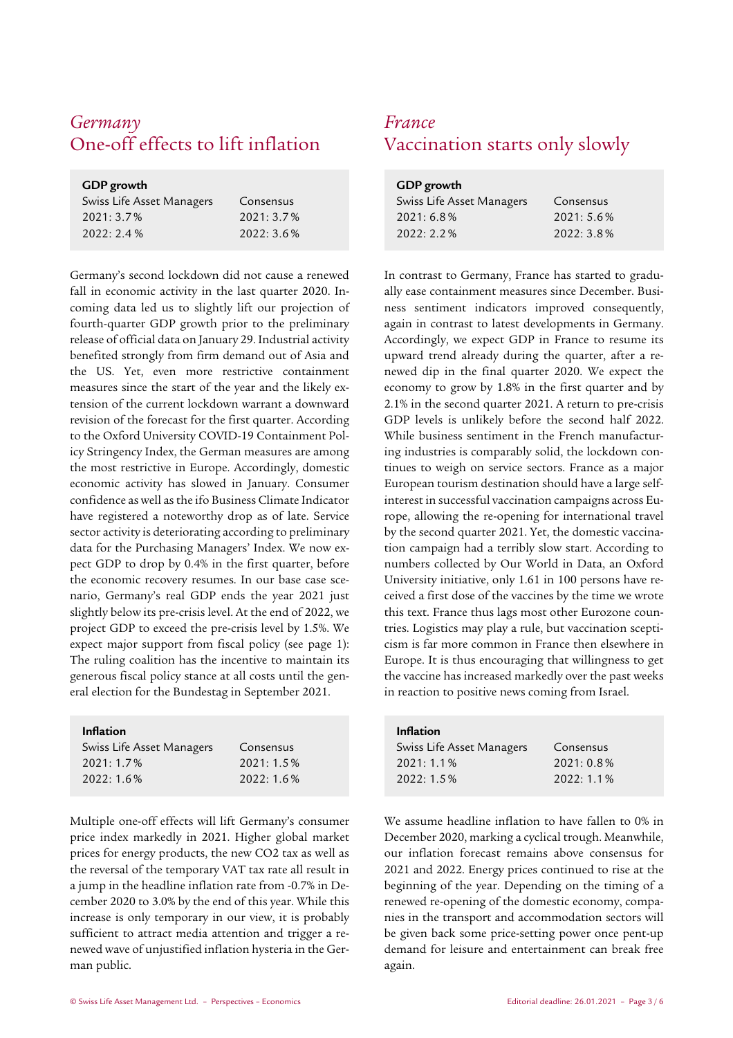## *Germany France* One-off effects to lift inflation Vaccination starts only slowly

| GDP growth                |           |  |  |  |
|---------------------------|-----------|--|--|--|
| Swiss Life Asset Managers | Consensus |  |  |  |
| $2021:3.7\%$              | 2021:3.7% |  |  |  |
| 2022:2.4%                 | 2022:3.6% |  |  |  |

Germany's second lockdown did not cause a renewed fall in economic activity in the last quarter 2020. Incoming data led us to slightly lift our projection of fourth-quarter GDP growth prior to the preliminary release of official data on January 29. Industrial activity benefited strongly from firm demand out of Asia and the US. Yet, even more restrictive containment measures since the start of the year and the likely extension of the current lockdown warrant a downward revision of the forecast for the first quarter. According to the Oxford University COVID-19 Containment Policy Stringency Index, the German measures are among the most restrictive in Europe. Accordingly, domestic economic activity has slowed in January. Consumer confidence as well as the ifo Business Climate Indicator have registered a noteworthy drop as of late. Service sector activity is deteriorating according to preliminary data for the Purchasing Managers' Index. We now expect GDP to drop by 0.4% in the first quarter, before the economic recovery resumes. In our base case scenario, Germany's real GDP ends the year 2021 just slightly below its pre-crisis level. At the end of 2022, we project GDP to exceed the pre-crisis level by 1.5%. We expect major support from fiscal policy (see page 1): The ruling coalition has the incentive to maintain its generous fiscal policy stance at all costs until the general election for the Bundestag in September 2021.

| <b>Inflation</b>          |           |
|---------------------------|-----------|
| Swiss Life Asset Managers | Consensus |
| $2021:1.7\%$              | 2021:1.5% |
| 2022:1.6%                 | 2022:1.6% |

Multiple one-off effects will lift Germany's consumer price index markedly in 2021. Higher global market prices for energy products, the new CO2 tax as well as the reversal of the temporary VAT tax rate all result in a jump in the headline inflation rate from -0.7% in December 2020 to 3.0% by the end of this year. While this increase is only temporary in our view, it is probably sufficient to attract media attention and trigger a renewed wave of unjustified inflation hysteria in the German public.

| GDP growth                |           |
|---------------------------|-----------|
| Swiss Life Asset Managers | Consensus |
| 2021:6.8%                 | 2021:5.6% |
| $2022:2.2\%$              | 2022:3.8% |

 In contrast to Germany, France has started to gradually ease containment measures since December. Business sentiment indicators improved consequently, again in contrast to latest developments in Germany. Accordingly, we expect GDP in France to resume its upward trend already during the quarter, after a renewed dip in the final quarter 2020. We expect the economy to grow by 1.8% in the first quarter and by 2.1% in the second quarter 2021. A return to pre-crisis GDP levels is unlikely before the second half 2022. While business sentiment in the French manufacturing industries is comparably solid, the lockdown continues to weigh on service sectors. France as a major European tourism destination should have a large selfinterest in successful vaccination campaigns across Europe, allowing the re-opening for international travel by the second quarter 2021. Yet, the domestic vaccination campaign had a terribly slow start. According to numbers collected by Our World in Data, an Oxford University initiative, only 1.61 in 100 persons have received a first dose of the vaccines by the time we wrote this text. France thus lags most other Eurozone countries. Logistics may play a rule, but vaccination scepticism is far more common in France then elsewhere in Europe. It is thus encouraging that willingness to get the vaccine has increased markedly over the past weeks in reaction to positive news coming from Israel.

| <b>Inflation</b>          |              |
|---------------------------|--------------|
| Swiss Life Asset Managers | Consensus    |
| 2021:1.1%                 | 2021:0.8%    |
| 2022:1.5%                 | $2022:1.1\%$ |

We assume headline inflation to have fallen to 0% in December 2020, marking a cyclical trough. Meanwhile, our inflation forecast remains above consensus for 2021 and 2022. Energy prices continued to rise at the beginning of the year. Depending on the timing of a renewed re-opening of the domestic economy, companies in the transport and accommodation sectors will be given back some price-setting power once pent-up demand for leisure and entertainment can break free again.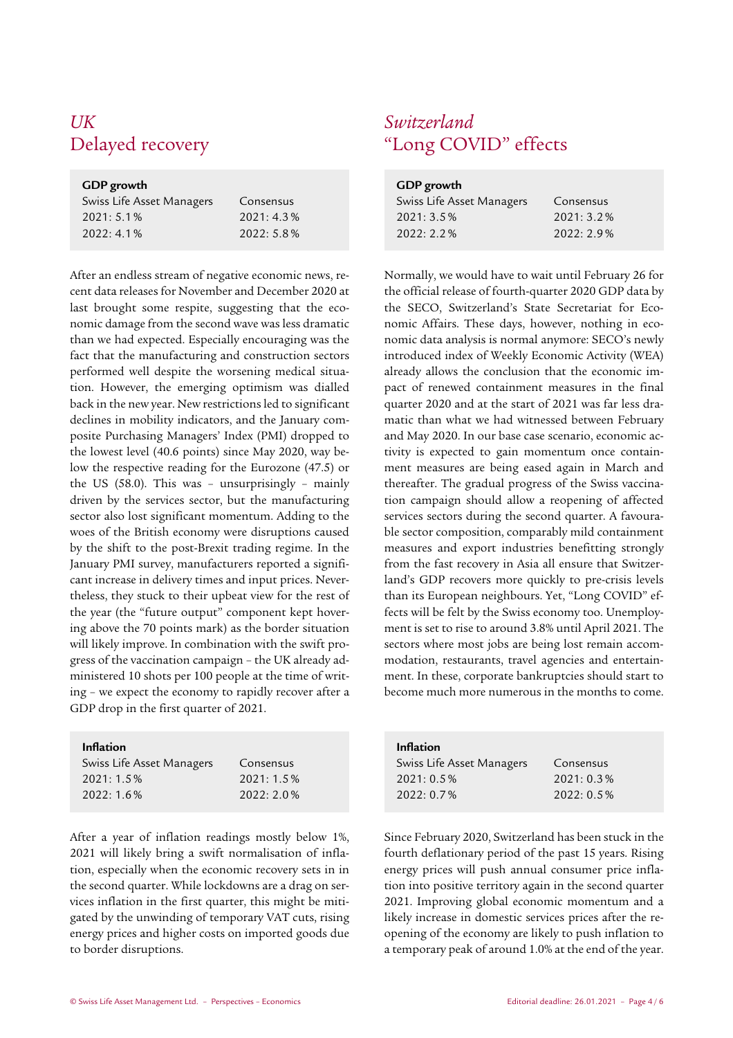## *UK Switzerland*

| Swiss Life Asset Managers | Consensus    |
|---------------------------|--------------|
| $2021:5.1\%$              | $2021:4.3\%$ |
| $2022:4.1\%$              | 2022:5.8%    |

After an endless stream of negative economic news, recent data releases for November and December 2020 at last brought some respite, suggesting that the economic damage from the second wave was less dramatic than we had expected. Especially encouraging was the fact that the manufacturing and construction sectors performed well despite the worsening medical situation. However, the emerging optimism was dialled back in the new year. New restrictions led to significant declines in mobility indicators, and the January composite Purchasing Managers' Index (PMI) dropped to the lowest level (40.6 points) since May 2020, way below the respective reading for the Eurozone (47.5) or the US (58.0). This was – unsurprisingly – mainly driven by the services sector, but the manufacturing sector also lost significant momentum. Adding to the woes of the British economy were disruptions caused by the shift to the post-Brexit trading regime. In the January PMI survey, manufacturers reported a significant increase in delivery times and input prices. Nevertheless, they stuck to their upbeat view for the rest of the year (the "future output" component kept hovering above the 70 points mark) as the border situation will likely improve. In combination with the swift progress of the vaccination campaign – the UK already administered 10 shots per 100 people at the time of writing – we expect the economy to rapidly recover after a GDP drop in the first quarter of 2021.

| Swiss Life Asset Managers | Consensus |
|---------------------------|-----------|
| $2021:1.5\%$              | 2021:1.5% |
| $2022:1.6\%$              | 2022:2.0% |
|                           |           |

After a year of inflation readings mostly below 1%, 2021 will likely bring a swift normalisation of inflation, especially when the economic recovery sets in in the second quarter. While lockdowns are a drag on services inflation in the first quarter, this might be mitigated by the unwinding of temporary VAT cuts, rising energy prices and higher costs on imported goods due to border disruptions.

## Delayed recovery "Long COVID" effects

| GDP growth                |           |
|---------------------------|-----------|
| Swiss Life Asset Managers | Consensus |
| $2021:3.5\%$              | 2021:3.2% |
| $2022:2.2\%$              | 2022:2.9% |

 Normally, we would have to wait until February 26 for the official release of fourth-quarter 2020 GDP data by the SECO, Switzerland's State Secretariat for Economic Affairs. These days, however, nothing in economic data analysis is normal anymore: SECO's newly introduced index of Weekly Economic Activity (WEA) already allows the conclusion that the economic impact of renewed containment measures in the final quarter 2020 and at the start of 2021 was far less dramatic than what we had witnessed between February and May 2020. In our base case scenario, economic activity is expected to gain momentum once containment measures are being eased again in March and thereafter. The gradual progress of the Swiss vaccination campaign should allow a reopening of affected services sectors during the second quarter. A favourable sector composition, comparably mild containment measures and export industries benefitting strongly from the fast recovery in Asia all ensure that Switzerland's GDP recovers more quickly to pre-crisis levels than its European neighbours. Yet, "Long COVID" effects will be felt by the Swiss economy too. Unemployment is set to rise to around 3.8% until April 2021. The sectors where most jobs are being lost remain accommodation, restaurants, travel agencies and entertainment. In these, corporate bankruptcies should start to become much more numerous in the months to come.

| <b>Inflation</b>          |              |
|---------------------------|--------------|
| Swiss Life Asset Managers | Consensus    |
| $2021:0.5\%$              | 2021:0.3%    |
| $2022:0.7\%$              | $2022:0.5\%$ |

Since February 2020, Switzerland has been stuck in the fourth deflationary period of the past 15 years. Rising energy prices will push annual consumer price inflation into positive territory again in the second quarter 2021. Improving global economic momentum and a likely increase in domestic services prices after the reopening of the economy are likely to push inflation to a temporary peak of around 1.0% at the end of the year.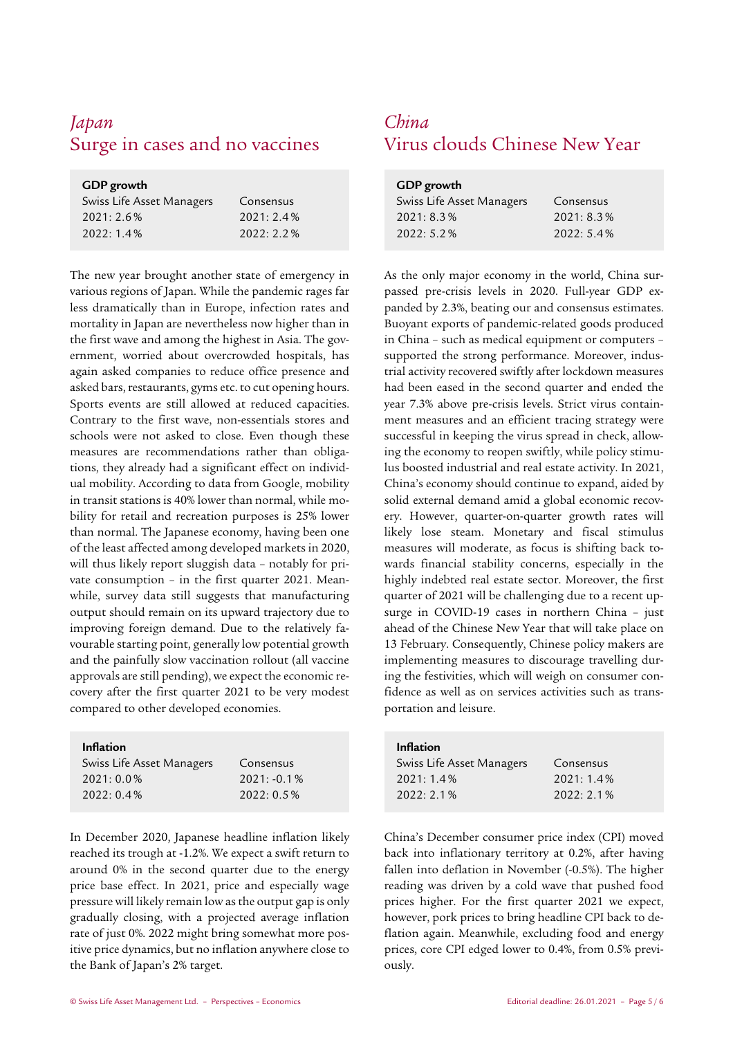## *Japan China*

| GDP growth                |              |
|---------------------------|--------------|
| Swiss Life Asset Managers | Consensus    |
| $2021:2.6\%$              | 2021:2.4%    |
| $2022:1.4\%$              | $2022:2.2\%$ |

The new year brought another state of emergency in various regions of Japan. While the pandemic rages far less dramatically than in Europe, infection rates and mortality in Japan are nevertheless now higher than in the first wave and among the highest in Asia. The government, worried about overcrowded hospitals, has again asked companies to reduce office presence and asked bars, restaurants, gyms etc. to cut opening hours. Sports events are still allowed at reduced capacities. Contrary to the first wave, non-essentials stores and schools were not asked to close. Even though these measures are recommendations rather than obligations, they already had a significant effect on individual mobility. According to data from Google, mobility in transit stations is 40% lower than normal, while mobility for retail and recreation purposes is 25% lower than normal. The Japanese economy, having been one of the least affected among developed markets in 2020, will thus likely report sluggish data – notably for private consumption – in the first quarter 2021. Meanwhile, survey data still suggests that manufacturing output should remain on its upward trajectory due to improving foreign demand. Due to the relatively favourable starting point, generally low potential growth and the painfully slow vaccination rollout (all vaccine approvals are still pending), we expect the economic recovery after the first quarter 2021 to be very modest compared to other developed economies.

### Inflation

| Swiss Life Asset Managers | Consensus      |
|---------------------------|----------------|
| $2021:0.0\%$              | $2021: -0.1\%$ |
| $2022:0.4\%$              | $2022:0.5\%$   |
|                           |                |

In December 2020, Japanese headline inflation likely reached its trough at -1.2%. We expect a swift return to around 0% in the second quarter due to the energy price base effect. In 2021, price and especially wage pressure will likely remain low as the output gap is only gradually closing, with a projected average inflation rate of just 0%. 2022 might bring somewhat more positive price dynamics, but no inflation anywhere close to the Bank of Japan's 2% target.

## Surge in cases and no vaccines Virus clouds Chinese New Year

| GDP growth                |           |
|---------------------------|-----------|
| Swiss Life Asset Managers | Consensus |
| 2021:8.3%                 | 2021:8.3% |
| 2022:5.2%                 | 2022:5.4% |

As the only major economy in the world, China surpassed pre-crisis levels in 2020. Full-year GDP expanded by 2.3%, beating our and consensus estimates. Buoyant exports of pandemic-related goods produced in China – such as medical equipment or computers – supported the strong performance. Moreover, industrial activity recovered swiftly after lockdown measures had been eased in the second quarter and ended the year 7.3% above pre-crisis levels. Strict virus containment measures and an efficient tracing strategy were successful in keeping the virus spread in check, allowing the economy to reopen swiftly, while policy stimulus boosted industrial and real estate activity. In 2021, China's economy should continue to expand, aided by solid external demand amid a global economic recovery. However, quarter-on-quarter growth rates will likely lose steam. Monetary and fiscal stimulus measures will moderate, as focus is shifting back towards financial stability concerns, especially in the highly indebted real estate sector. Moreover, the first quarter of 2021 will be challenging due to a recent upsurge in COVID-19 cases in northern China – just ahead of the Chinese New Year that will take place on 13 February. Consequently, Chinese policy makers are implementing measures to discourage travelling during the festivities, which will weigh on consumer confidence as well as on services activities such as transportation and leisure.

| <b>Inflation</b>          |              |
|---------------------------|--------------|
| Swiss Life Asset Managers | Consensus    |
| 2021:1.4%                 | 2021:1.4%    |
| $2022:2.1\%$              | $2022:2.1\%$ |

China's December consumer price index (CPI) moved back into inflationary territory at 0.2%, after having fallen into deflation in November (-0.5%). The higher reading was driven by a cold wave that pushed food prices higher. For the first quarter 2021 we expect, however, pork prices to bring headline CPI back to deflation again. Meanwhile, excluding food and energy prices, core CPI edged lower to 0.4%, from 0.5% previously.